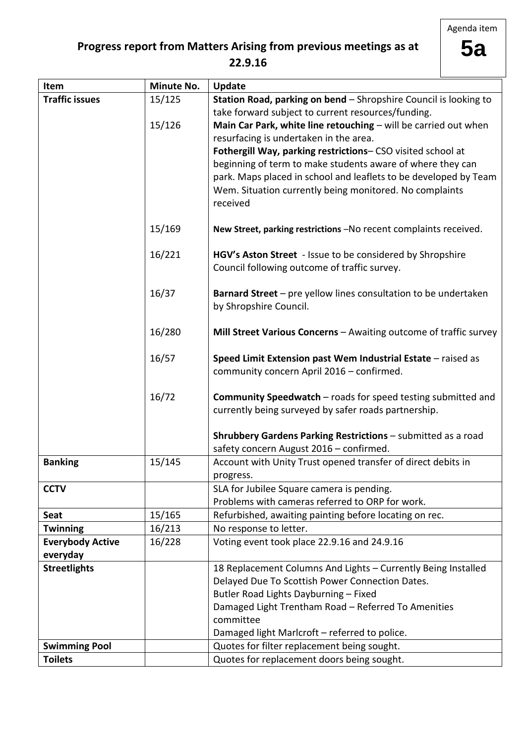Agenda item

# **Progress report from Matters Arising from previous meetings as at**

**5a**

### **22.9.16**

| Item                    | <b>Minute No.</b> | Update                                                                                       |  |  |
|-------------------------|-------------------|----------------------------------------------------------------------------------------------|--|--|
| <b>Traffic issues</b>   | 15/125            | Station Road, parking on bend - Shropshire Council is looking to                             |  |  |
|                         |                   | take forward subject to current resources/funding.                                           |  |  |
|                         | 15/126            | Main Car Park, white line retouching - will be carried out when                              |  |  |
|                         |                   | resurfacing is undertaken in the area.                                                       |  |  |
|                         |                   | Fothergill Way, parking restrictions- CSO visited school at                                  |  |  |
|                         |                   | beginning of term to make students aware of where they can                                   |  |  |
|                         |                   | park. Maps placed in school and leaflets to be developed by Team                             |  |  |
|                         |                   | Wem. Situation currently being monitored. No complaints                                      |  |  |
|                         |                   | received                                                                                     |  |  |
|                         | 15/169            | New Street, parking restrictions -No recent complaints received.                             |  |  |
|                         |                   |                                                                                              |  |  |
|                         | 16/221            | HGV's Aston Street - Issue to be considered by Shropshire                                    |  |  |
|                         |                   | Council following outcome of traffic survey.                                                 |  |  |
|                         | 16/37             | Barnard Street - pre yellow lines consultation to be undertaken                              |  |  |
|                         |                   | by Shropshire Council.                                                                       |  |  |
|                         |                   |                                                                                              |  |  |
|                         | 16/280            | Mill Street Various Concerns - Awaiting outcome of traffic survey                            |  |  |
|                         | 16/57             | Speed Limit Extension past Wem Industrial Estate - raised as                                 |  |  |
|                         |                   | community concern April 2016 - confirmed.                                                    |  |  |
|                         |                   |                                                                                              |  |  |
|                         | 16/72             | <b>Community Speedwatch</b> – roads for speed testing submitted and                          |  |  |
|                         |                   | currently being surveyed by safer roads partnership.                                         |  |  |
|                         |                   |                                                                                              |  |  |
|                         |                   | Shrubbery Gardens Parking Restrictions - submitted as a road                                 |  |  |
|                         |                   | safety concern August 2016 - confirmed.                                                      |  |  |
| <b>Banking</b>          | 15/145            | Account with Unity Trust opened transfer of direct debits in                                 |  |  |
|                         |                   | progress.                                                                                    |  |  |
| <b>CCTV</b>             |                   | SLA for Jubilee Square camera is pending.                                                    |  |  |
|                         |                   | Problems with cameras referred to ORP for work.                                              |  |  |
| <b>Seat</b>             | 15/165            | Refurbished, awaiting painting before locating on rec.                                       |  |  |
| <b>Twinning</b>         | 16/213            | No response to letter.                                                                       |  |  |
| <b>Everybody Active</b> | 16/228            | Voting event took place 22.9.16 and 24.9.16                                                  |  |  |
| everyday                |                   |                                                                                              |  |  |
| <b>Streetlights</b>     |                   | 18 Replacement Columns And Lights - Currently Being Installed                                |  |  |
|                         |                   | Delayed Due To Scottish Power Connection Dates.                                              |  |  |
|                         |                   | Butler Road Lights Dayburning - Fixed                                                        |  |  |
|                         |                   | Damaged Light Trentham Road - Referred To Amenities<br>committee                             |  |  |
|                         |                   |                                                                                              |  |  |
| <b>Swimming Pool</b>    |                   | Damaged light Marlcroft - referred to police.<br>Quotes for filter replacement being sought. |  |  |
| <b>Toilets</b>          |                   |                                                                                              |  |  |
|                         |                   | Quotes for replacement doors being sought.                                                   |  |  |